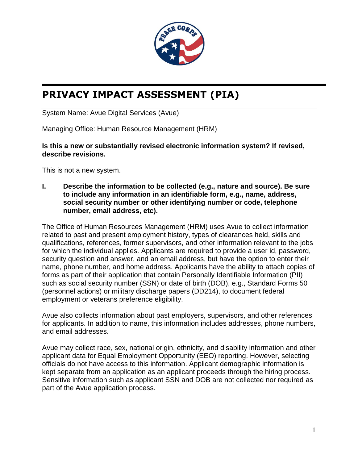

# **PRIVACY IMPACT ASSESSMENT (PIA)**

System Name: Avue Digital Services (Avue)

Managing Office: Human Resource Management (HRM)

**Is this a new or substantially revised electronic information system? If revised, describe revisions.**

This is not a new system.

**I. Describe the information to be collected (e.g., nature and source). Be sure to include any information in an identifiable form, e.g., name, address, social security number or other identifying number or code, telephone number, email address, etc).**

The Office of Human Resources Management (HRM) uses Avue to collect information related to past and present employment history, types of clearances held, skills and qualifications, references, former supervisors, and other information relevant to the jobs for which the individual applies. Applicants are required to provide a user id, password, security question and answer, and an email address, but have the option to enter their name, phone number, and home address. Applicants have the ability to attach copies of forms as part of their application that contain Personally Identifiable Information (PII) such as social security number (SSN) or date of birth (DOB), e.g., Standard Forms 50 (personnel actions) or military discharge papers (DD214), to document federal employment or veterans preference eligibility.

Avue also collects information about past employers, supervisors, and other references for applicants. In addition to name, this information includes addresses, phone numbers, and email addresses.

Avue may collect race, sex, national origin, ethnicity, and disability information and other applicant data for Equal Employment Opportunity (EEO) reporting. However, selecting officials do not have access to this information. Applicant demographic information is kept separate from an application as an applicant proceeds through the hiring process. Sensitive information such as applicant SSN and DOB are not collected nor required as part of the Avue application process.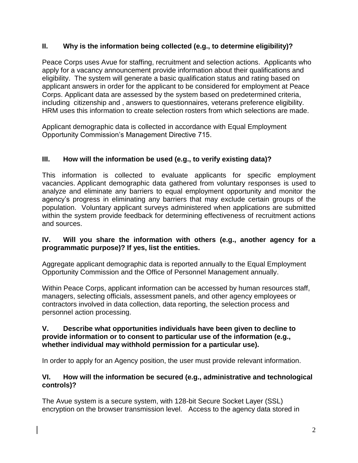## **II. Why is the information being collected (e.g., to determine eligibility)?**

Peace Corps uses Avue for staffing, recruitment and selection actions. Applicants who apply for a vacancy announcement provide information about their qualifications and eligibility. The system will generate a basic qualification status and rating based on applicant answers in order for the applicant to be considered for employment at Peace Corps. Applicant data are assessed by the system based on predetermined criteria, including citizenship and , answers to questionnaires, veterans preference eligibility. HRM uses this information to create selection rosters from which selections are made.

Applicant demographic data is collected in accordance with Equal Employment Opportunity Commission's Management Directive 715.

## **III. How will the information be used (e.g., to verify existing data)?**

This information is collected to evaluate applicants for specific employment vacancies. Applicant demographic data gathered from voluntary responses is used to analyze and eliminate any barriers to equal employment opportunity and monitor the agency's progress in eliminating any barriers that may exclude certain groups of the population. Voluntary applicant surveys administered when applications are submitted within the system provide feedback for determining effectiveness of recruitment actions and sources.

### **IV. Will you share the information with others (e.g., another agency for a programmatic purpose)? If yes, list the entities.**

Aggregate applicant demographic data is reported annually to the Equal Employment Opportunity Commission and the Office of Personnel Management annually.

Within Peace Corps, applicant information can be accessed by human resources staff, managers, selecting officials, assessment panels, and other agency employees or contractors involved in data collection, data reporting, the selection process and personnel action processing.

### **V. Describe what opportunities individuals have been given to decline to provide information or to consent to particular use of the information (e.g., whether individual may withhold permission for a particular use).**

In order to apply for an Agency position, the user must provide relevant information.

### **VI. How will the information be secured (e.g., administrative and technological controls)?**

The Avue system is a secure system, with 128-bit Secure Socket Layer (SSL) encryption on the browser transmission level. Access to the agency data stored in